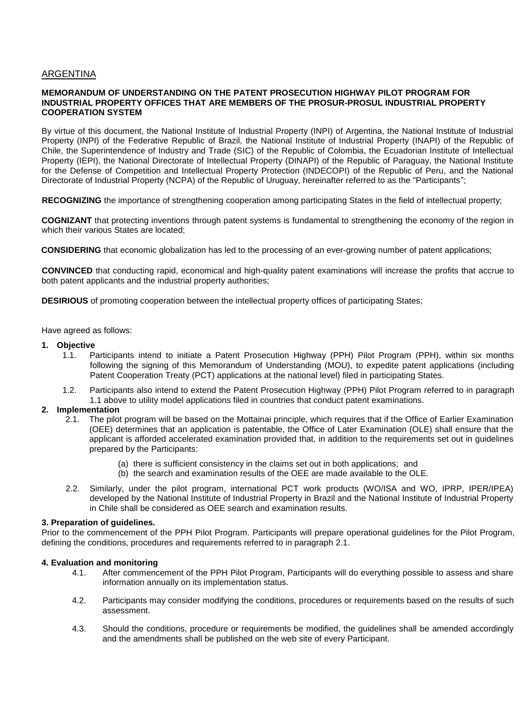# ARGENTINA

## **MEMORANDUM OF UNDERSTANDING ON THE PATENT PROSECUTION HIGHWAY PILOT PROGRAM FOR INDUSTRIAL PROPERTY OFFICES THAT ARE MEMBERS OF THE PROSUR-PROSUL INDUSTRIAL PROPERTY COOPERATION SYSTEM**

By virtue of this document, the National Institute of Industrial Property (INPI) of Argentina, the National Institute of Industrial Property (INPI) of the Federative Republic of Brazil, the National Institute of Industrial Property (INAPI) of the Republic of Chile, the Superintendence of Industry and Trade (SIC) of the Republic of Colombia, the Ecuadorian Institute of Intellectual Property (IEPI), the National Directorate of Intellectual Property (DINAPI) of the Republic of Paraguay, the National Institute for the Defense of Competition and Intellectual Property Protection (INDECOPI) of the Republic of Peru, and the National Directorate of Industrial Property (NCPA) of the Republic of Uruguay, hereinafter referred to as the "Participants";

**RECOGNIZING** the importance of strengthening cooperation among participating States in the field of intellectual property;

**COGNIZANT** that protecting inventions through patent systems is fundamental to strengthening the economy of the region in which their various States are located;

**CONSIDERING** that economic globalization has led to the processing of an ever-growing number of patent applications;

**CONVINCED** that conducting rapid, economical and high-quality patent examinations will increase the profits that accrue to both patent applicants and the industrial property authorities;

**DESIRIOUS** of promoting cooperation between the intellectual property offices of participating States;

Have agreed as follows:

## **1. Objective**

- 1.1. Participants intend to initiate a Patent Prosecution Highway (PPH) Pilot Program (PPH), within six months following the signing of this Memorandum of Understanding (MOU), to expedite patent applications (including Patent Cooperation Treaty (PCT) applications at the national level) filed in participating States.
- 1.2. Participants also intend to extend the Patent Prosecution Highway (PPH) Pilot Program referred to in paragraph 1.1 above to utility model applications filed in countries that conduct patent examinations.

# **2. Implementation**

- 2.1. The pilot program will be based on the Mottainai principle, which requires that if the Office of Earlier Examination (OEE) determines that an application is patentable, the Office of Later Examination (OLE) shall ensure that the applicant is afforded accelerated examination provided that, in addition to the requirements set out in guidelines prepared by the Participants:
	- (a) there is sufficient consistency in the claims set out in both applications; and
	- (b) the search and examination results of the OEE are made available to the OLE.
- 2.2. Similarly, under the pilot program, international PCT work products (WO/ISA and WO, IPRP, IPER/IPEA) developed by the National Institute of Industrial Property in Brazil and the National Institute of Industrial Property in Chile shall be considered as OEE search and examination results.

## **3. Preparation of guidelines.**

Prior to the commencement of the PPH Pilot Program. Participants will prepare operational guidelines for the Pilot Program, defining the conditions, procedures and requirements referred to in paragraph 2.1.

## **4. Evaluation and monitoring**

- 4.1. After commencement of the PPH Pilot Program, Participants will do everything possible to assess and share information annually on its implementation status.
- 4.2. Participants may consider modifying the conditions, procedures or requirements based on the results of such assessment.
- 4.3. Should the conditions, procedure or requirements be modified, the guidelines shall be amended accordingly and the amendments shall be published on the web site of every Participant.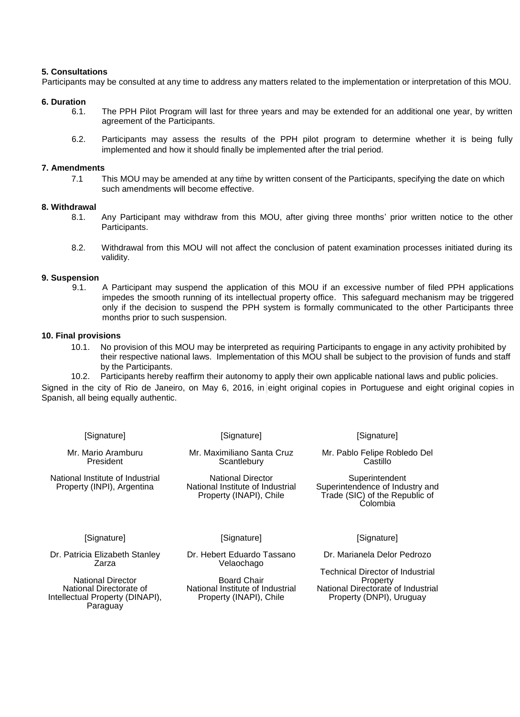## **5. Consultations**

Participants may be consulted at any time to address any matters related to the implementation or interpretation of this MOU.

#### **6. Duration**

- 6.1. The PPH Pilot Program will last for three years and may be extended for an additional one year, by written agreement of the Participants.
- 6.2. Participants may assess the results of the PPH pilot program to determine whether it is being fully implemented and how it should finally be implemented after the trial period.

### **7. Amendments**

7.1 This MOU may be amended at any time by written consent of the Participants, specifying the date on which such amendments will become effective.

#### **8. Withdrawal**

- 8.1. Any Participant may withdraw from this MOU, after giving three months' prior written notice to the other Participants.
- 8.2. Withdrawal from this MOU will not affect the conclusion of patent examination processes initiated during its validity.

#### **9. Suspension**

9.1. A Participant may suspend the application of this MOU if an excessive number of filed PPH applications impedes the smooth running of its intellectual property office. This safeguard mechanism may be triggered only if the decision to suspend the PPH system is formally communicated to the other Participants three months prior to such suspension.

#### **10. Final provisions**

10.1. No provision of this MOU may be interpreted as requiring Participants to engage in any activity prohibited by their respective national laws. Implementation of this MOU shall be subject to the provision of funds and staff by the Participants.

10.2. Participants hereby reaffirm their autonomy to apply their own applicable national laws and public policies.

Signed in the city of Rio de Janeiro, on May 6, 2016, in eight original copies in Portuguese and eight original copies in Spanish, all being equally authentic.

[Signature]

[Signature]

Mr. Mario Aramburu President

National Institute of Industrial Property (INPI), Argentina

Mr. Maximiliano Santa Cruz **Scantlebury** 

National Director National Institute of Industrial Property (INAPI), Chile

## [Signature]

Mr. Pablo Felipe Robledo Del Castillo

**Superintendent** Superintendence of Industry and Trade (SIC) of the Republic of Colombia

#### [Signature]

Dr. Patricia Elizabeth Stanley Zarza

National Director National Directorate of Intellectual Property (DINAPI), **Paraguay** 

[Signature]

Dr. Hebert Eduardo Tassano Velaochago

Board Chair National Institute of Industrial Property (INAPI), Chile

[Signature]

Dr. Marianela Delor Pedrozo

Technical Director of Industrial Property National Directorate of Industrial Property (DNPI), Uruguay